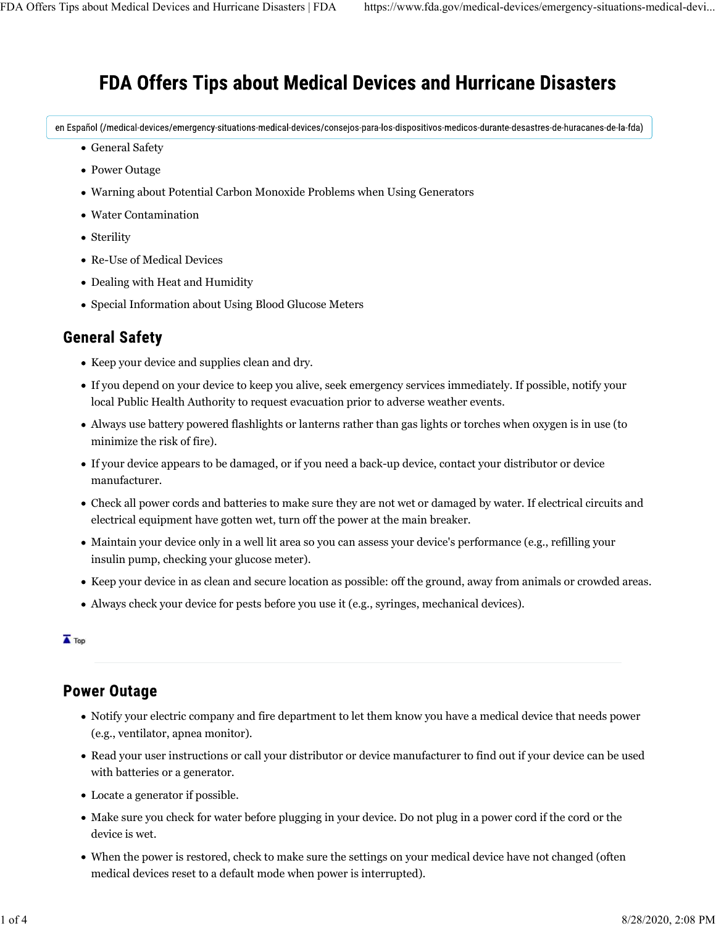# **FDA Offers Tips about Medical Devices and Hurricane Disasters**

en Español (/medical-devices/emergency-situations-medical-devices/consejos-para-los-dispositivos-medicos-durante-desastres-de-huracanes-de-la-fda)

- General Safety
- Power Outage
- Warning about Potential Carbon Monoxide Problems when Using Generators
- Water Contamination
- Sterility
- Re-Use of Medical Devices
- Dealing with Heat and Humidity
- Special Information about Using Blood Glucose Meters

### **General Safety**

- Keep your device and supplies clean and dry.
- If you depend on your device to keep you alive, seek emergency services immediately. If possible, notify your local Public Health Authority to request evacuation prior to adverse weather events.
- Always use battery powered flashlights or lanterns rather than gas lights or torches when oxygen is in use (to minimize the risk of fire).
- If your device appears to be damaged, or if you need a back-up device, contact your distributor or device manufacturer.
- Check all power cords and batteries to make sure they are not wet or damaged by water. If electrical circuits and electrical equipment have gotten wet, turn off the power at the main breaker.
- Maintain your device only in a well lit area so you can assess your device's performance (e.g., refilling your insulin pump, checking your glucose meter).
- Keep your device in as clean and secure location as possible: off the ground, away from animals or crowded areas.
- Always check your device for pests before you use it (e.g., syringes, mechanical devices).

#### $\overline{\blacktriangle}$  Top

### **Power Outage**

- Notify your electric company and fire department to let them know you have a medical device that needs power (e.g., ventilator, apnea monitor).
- Read your user instructions or call your distributor or device manufacturer to find out if your device can be used with batteries or a generator.
- Locate a generator if possible.
- Make sure you check for water before plugging in your device. Do not plug in a power cord if the cord or the device is wet.
- When the power is restored, check to make sure the settings on your medical device have not changed (often medical devices reset to a default mode when power is interrupted).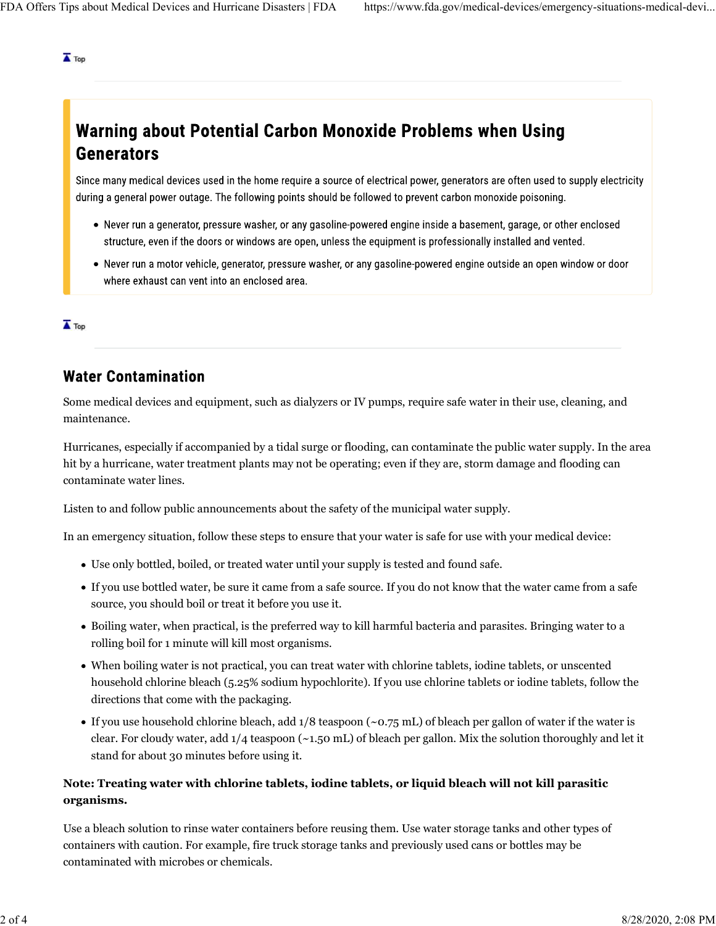$\overline{\blacktriangle}$  Top

# **Warning about Potential Carbon Monoxide Problems when Using Generators**

Since many medical devices used in the home require a source of electrical power, generators are often used to supply electricity during a general power outage. The following points should be followed to prevent carbon monoxide poisoning.

- Never run a generator, pressure washer, or any gasoline-powered engine inside a basement, garage, or other enclosed structure, even if the doors or windows are open, unless the equipment is professionally installed and vented.
- Never run a motor vehicle, generator, pressure washer, or any gasoline-powered engine outside an open window or door where exhaust can vent into an enclosed area.

 $\overline{\blacktriangle}$  Top

## **Water Contamination**

Some medical devices and equipment, such as dialyzers or IV pumps, require safe water in their use, cleaning, and maintenance.

Hurricanes, especially if accompanied by a tidal surge or flooding, can contaminate the public water supply. In the area hit by a hurricane, water treatment plants may not be operating; even if they are, storm damage and flooding can contaminate water lines.

Listen to and follow public announcements about the safety of the municipal water supply.

In an emergency situation, follow these steps to ensure that your water is safe for use with your medical device:

- Use only bottled, boiled, or treated water until your supply is tested and found safe.
- If you use bottled water, be sure it came from a safe source. If you do not know that the water came from a safe source, you should boil or treat it before you use it.
- Boiling water, when practical, is the preferred way to kill harmful bacteria and parasites. Bringing water to a rolling boil for 1 minute will kill most organisms.
- When boiling water is not practical, you can treat water with chlorine tablets, iodine tablets, or unscented household chlorine bleach (5.25% sodium hypochlorite). If you use chlorine tablets or iodine tablets, follow the directions that come with the packaging.
- If you use household chlorine bleach, add 1/8 teaspoon (~0.75 mL) of bleach per gallon of water if the water is clear. For cloudy water, add 1/4 teaspoon (~1.50 mL) of bleach per gallon. Mix the solution thoroughly and let it stand for about 30 minutes before using it.

#### **Note: Treating water with chlorine tablets, iodine tablets, or liquid bleach will not kill parasitic organisms.**

Use a bleach solution to rinse water containers before reusing them. Use water storage tanks and other types of containers with caution. For example, fire truck storage tanks and previously used cans or bottles may be contaminated with microbes or chemicals.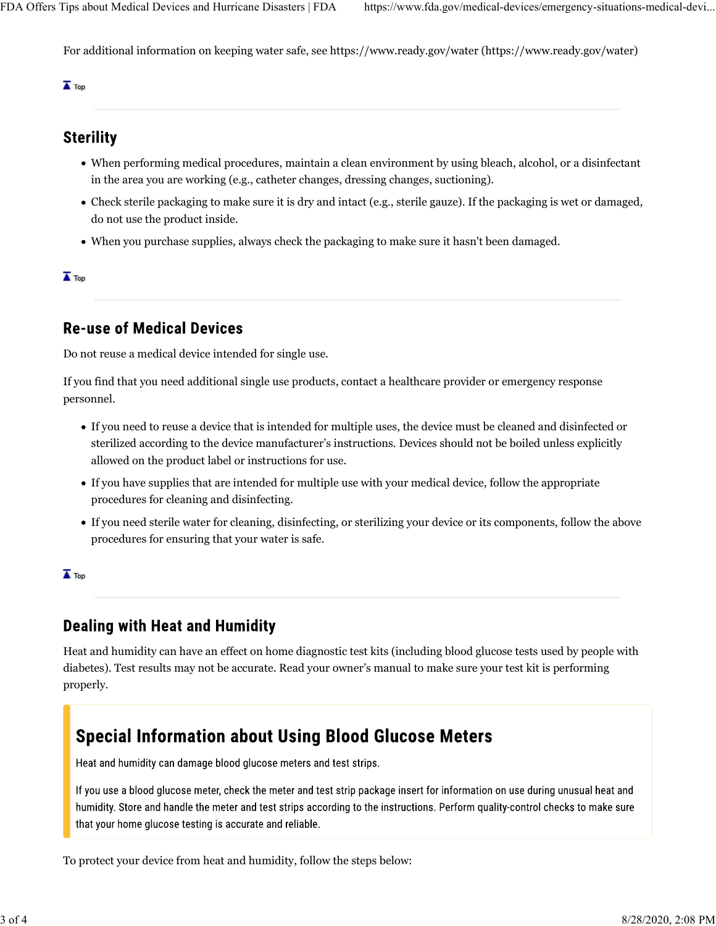For additional information on keeping water safe, see https://www.ready.gov/water (https://www.ready.gov/water)

 $\overline{\blacktriangle}$  Top

### **Sterility**

- When performing medical procedures, maintain a clean environment by using bleach, alcohol, or a disinfectant in the area you are working (e.g., catheter changes, dressing changes, suctioning).
- Check sterile packaging to make sure it is dry and intact (e.g., sterile gauze). If the packaging is wet or damaged, do not use the product inside.
- When you purchase supplies, always check the packaging to make sure it hasn't been damaged.

 $\overline{\blacktriangle}$  Top

### **Re-use of Medical Devices**

Do not reuse a medical device intended for single use.

If you find that you need additional single use products, contact a healthcare provider or emergency response personnel.

- If you need to reuse a device that is intended for multiple uses, the device must be cleaned and disinfected or sterilized according to the device manufacturer's instructions. Devices should not be boiled unless explicitly allowed on the product label or instructions for use.
- If you have supplies that are intended for multiple use with your medical device, follow the appropriate procedures for cleaning and disinfecting.
- If you need sterile water for cleaning, disinfecting, or sterilizing your device or its components, follow the above procedures for ensuring that your water is safe.

 $\overline{\blacktriangle}$  Top

## **Dealing with Heat and Humidity**

Heat and humidity can have an effect on home diagnostic test kits (including blood glucose tests used by people with diabetes). Test results may not be accurate. Read your owner's manual to make sure your test kit is performing properly.

## **Special Information about Using Blood Glucose Meters**

Heat and humidity can damage blood glucose meters and test strips.

If you use a blood glucose meter, check the meter and test strip package insert for information on use during unusual heat and humidity. Store and handle the meter and test strips according to the instructions. Perform quality-control checks to make sure that your home glucose testing is accurate and reliable.

To protect your device from heat and humidity, follow the steps below: